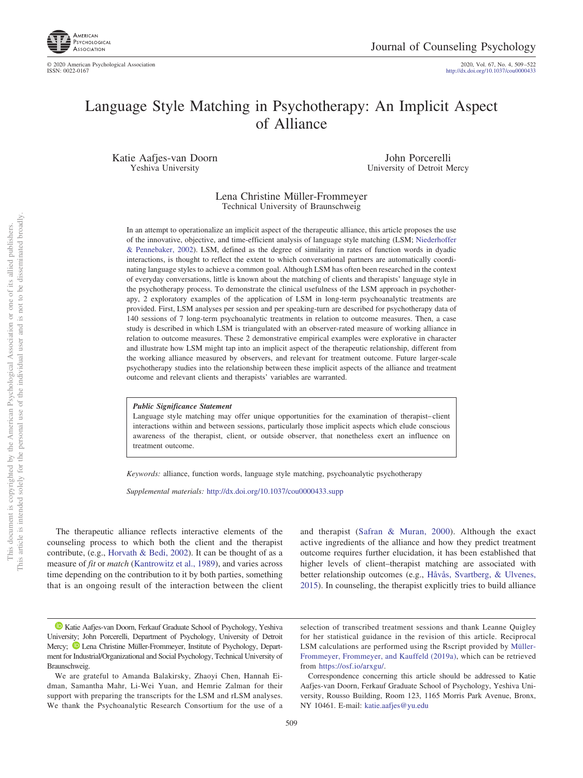

http://dx.doi.org[/10.1037/cou0000433](http://dx.doi.org/10.1037/cou0000433)

# Language Style Matching in Psychotherapy: An Implicit Aspect of Alliance

Katie Aafjes-van Doorn Yeshiva University

John Porcerelli University of Detroit Mercy

## Lena Christine Müller-Frommeyer Technical University of Braunschweig

In an attempt to operationalize an implicit aspect of the therapeutic alliance, this article proposes the use of the innovative, objective, and time-efficient analysis of language style matching (LSM; [Niederhoffer](#page-12-0) [& Pennebaker, 2002\)](#page-12-0). LSM, defined as the degree of similarity in rates of function words in dyadic interactions, is thought to reflect the extent to which conversational partners are automatically coordinating language styles to achieve a common goal. Although LSM has often been researched in the context of everyday conversations, little is known about the matching of clients and therapists' language style in the psychotherapy process. To demonstrate the clinical usefulness of the LSM approach in psychotherapy, 2 exploratory examples of the application of LSM in long-term psychoanalytic treatments are provided. First, LSM analyses per session and per speaking-turn are described for psychotherapy data of 140 sessions of 7 long-term psychoanalytic treatments in relation to outcome measures. Then, a case study is described in which LSM is triangulated with an observer-rated measure of working alliance in relation to outcome measures. These 2 demonstrative empirical examples were explorative in character and illustrate how LSM might tap into an implicit aspect of the therapeutic relationship, different from the working alliance measured by observers, and relevant for treatment outcome. Future larger-scale psychotherapy studies into the relationship between these implicit aspects of the alliance and treatment outcome and relevant clients and therapists' variables are warranted.

#### *Public Significance Statement*

Language style matching may offer unique opportunities for the examination of therapist–client interactions within and between sessions, particularly those implicit aspects which elude conscious awareness of the therapist, client, or outside observer, that nonetheless exert an influence on treatment outcome.

*Keywords:* alliance, function words, language style matching, psychoanalytic psychotherapy

*Supplemental materials:* http://dx.doi.org/10.1037/cou0000433.supp

The therapeutic alliance reflects interactive elements of the counseling process to which both the client and the therapist contribute, (e.g., [Horvath & Bedi, 2002\)](#page-12-1). It can be thought of as a measure of *fit* or *match* [\(Kantrowitz et al., 1989\)](#page-12-2), and varies across time depending on the contribution to it by both parties, something that is an ongoing result of the interaction between the client and therapist [\(Safran & Muran, 2000\)](#page-12-3). Although the exact active ingredients of the alliance and how they predict treatment outcome requires further elucidation, it has been established that higher levels of client–therapist matching are associated with better relationship outcomes (e.g., [Håvås, Svartberg, & Ulvenes,](#page-12-4) [2015\)](#page-12-4). In counseling, the therapist explicitly tries to build alliance

<sup>&</sup>lt;sup>1</sup> [Katie Aafjes-van Doorn,](https://orcid.org/0000-0003-2584-5897) Ferkauf Graduate School of Psychology, Yeshiva University; John Porcerelli, Department of Psychology, University of Detroit Mercy;  $\bullet$  [Lena Christine Müller-Frommeyer,](https://orcid.org/0000-0003-3220-1555) Institute of Psychology, Department for Industrial/Organizational and Social Psychology, Technical University of Braunschweig.

We are grateful to Amanda Balakirsky, Zhaoyi Chen, Hannah Eidman, Samantha Mahr, Li-Wei Yuan, and Hemrie Zalman for their support with preparing the transcripts for the LSM and rLSM analyses. We thank the Psychoanalytic Research Consortium for the use of a

selection of transcribed treatment sessions and thank Leanne Quigley for her statistical guidance in the revision of this article. Reciprocal LSM calculations are performed using the Rscript provided by [Müller-](#page-12-5)[Frommeyer, Frommeyer, and Kauffeld \(2019a\),](#page-12-5) which can be retrieved from [https://osf.io/arxgu/.](https://osf.io/arxgu/)

Correspondence concerning this article should be addressed to Katie Aafjes-van Doorn, Ferkauf Graduate School of Psychology, Yeshiva University, Rousso Building, Room 123, 1165 Morris Park Avenue, Bronx, NY 10461. E-mail: [katie.aafjes@yu.edu](mailto:katie.aafjes@yu.edu)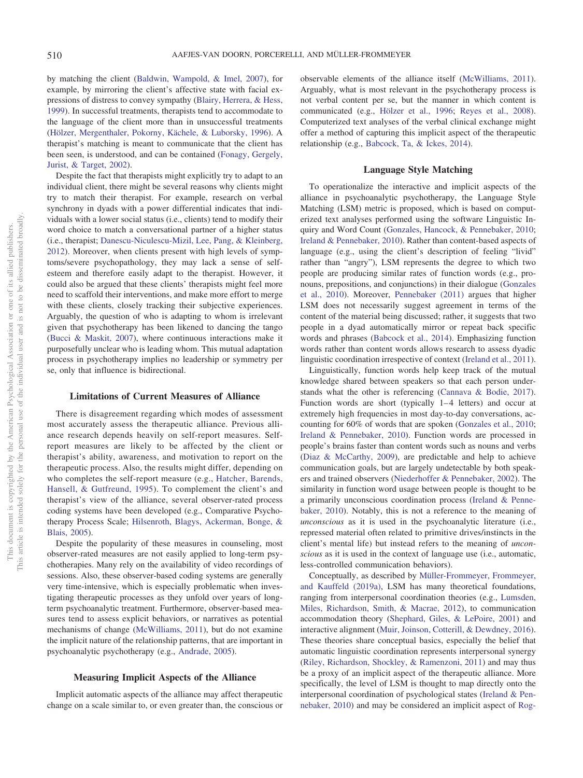by matching the client [\(Baldwin, Wampold, & Imel, 2007\)](#page-11-0), for example, by mirroring the client's affective state with facial expressions of distress to convey sympathy [\(Blairy, Herrera, & Hess,](#page-11-1) [1999\)](#page-11-1). In successful treatments, therapists tend to accommodate to the language of the client more than in unsuccessful treatments [\(Hölzer, Mergenthaler, Pokorny, Kächele, & Luborsky, 1996\)](#page-12-6). A therapist's matching is meant to communicate that the client has been seen, is understood, and can be contained [\(Fonagy, Gergely,](#page-11-2) [Jurist, & Target, 2002\)](#page-11-2).

Despite the fact that therapists might explicitly try to adapt to an individual client, there might be several reasons why clients might try to match their therapist. For example, research on verbal synchrony in dyads with a power differential indicates that individuals with a lower social status (i.e., clients) tend to modify their word choice to match a conversational partner of a higher status (i.e., therapist; [Danescu-Niculescu-Mizil, Lee, Pang, & Kleinberg,](#page-11-3) [2012\)](#page-11-3). Moreover, when clients present with high levels of symptoms/severe psychopathology, they may lack a sense of selfesteem and therefore easily adapt to the therapist. However, it could also be argued that these clients' therapists might feel more need to scaffold their interventions, and make more effort to merge with these clients, closely tracking their subjective experiences. Arguably, the question of who is adapting to whom is irrelevant given that psychotherapy has been likened to dancing the tango [\(Bucci & Maskit, 2007\)](#page-11-4), where continuous interactions make it purposefully unclear who is leading whom. This mutual adaptation process in psychotherapy implies no leadership or symmetry per se, only that influence is bidirectional.

## **Limitations of Current Measures of Alliance**

There is disagreement regarding which modes of assessment most accurately assess the therapeutic alliance. Previous alliance research depends heavily on self-report measures. Selfreport measures are likely to be affected by the client or therapist's ability, awareness, and motivation to report on the therapeutic process. Also, the results might differ, depending on who completes the self-report measure (e.g., [Hatcher, Barends,](#page-12-7) [Hansell, & Gutfreund, 1995\)](#page-12-7). To complement the client's and therapist's view of the alliance, several observer-rated process coding systems have been developed (e.g., Comparative Psychotherapy Process Scale; [Hilsenroth, Blagys, Ackerman, Bonge, &](#page-12-8) [Blais, 2005\)](#page-12-8).

Despite the popularity of these measures in counseling, most observer-rated measures are not easily applied to long-term psychotherapies. Many rely on the availability of video recordings of sessions. Also, these observer-based coding systems are generally very time-intensive, which is especially problematic when investigating therapeutic processes as they unfold over years of longterm psychoanalytic treatment. Furthermore, observer-based measures tend to assess explicit behaviors, or narratives as potential mechanisms of change [\(McWilliams, 2011\)](#page-12-9), but do not examine the implicit nature of the relationship patterns, that are important in psychoanalytic psychotherapy (e.g., [Andrade, 2005\)](#page-11-5).

#### **Measuring Implicit Aspects of the Alliance**

Implicit automatic aspects of the alliance may affect therapeutic change on a scale similar to, or even greater than, the conscious or observable elements of the alliance itself [\(McWilliams, 2011\)](#page-12-9). Arguably, what is most relevant in the psychotherapy process is not verbal content per se, but the manner in which content is communicated (e.g., [Hölzer et al., 1996;](#page-12-6) [Reyes et al., 2008\)](#page-12-10). Computerized text analyses of the verbal clinical exchange might offer a method of capturing this implicit aspect of the therapeutic relationship (e.g., [Babcock, Ta, & Ickes, 2014\)](#page-11-6).

#### **Language Style Matching**

To operationalize the interactive and implicit aspects of the alliance in psychoanalytic psychotherapy, the Language Style Matching (LSM) metric is proposed, which is based on computerized text analyses performed using the software Linguistic Inquiry and Word Count [\(Gonzales, Hancock, & Pennebaker, 2010;](#page-11-7) [Ireland & Pennebaker, 2010\)](#page-12-11). Rather than content-based aspects of language (e.g., using the client's description of feeling "livid" rather than "angry"), LSM represents the degree to which two people are producing similar rates of function words (e.g., pronouns, prepositions, and conjunctions) in their dialogue [\(Gonzales](#page-11-7) [et al., 2010\)](#page-11-7). Moreover, [Pennebaker \(2011\)](#page-12-12) argues that higher LSM does not necessarily suggest agreement in terms of the content of the material being discussed; rather, it suggests that two people in a dyad automatically mirror or repeat back specific words and phrases [\(Babcock et al., 2014\)](#page-11-6). Emphasizing function words rather than content words allows research to assess dyadic linguistic coordination irrespective of context [\(Ireland et al., 2011\)](#page-12-13).

Linguistically, function words help keep track of the mutual knowledge shared between speakers so that each person understands what the other is referencing [\(Cannava & Bodie, 2017\)](#page-11-8). Function words are short (typically 1–4 letters) and occur at extremely high frequencies in most day-to-day conversations, accounting for 60% of words that are spoken [\(Gonzales et al., 2010;](#page-11-7) [Ireland & Pennebaker, 2010\)](#page-12-11). Function words are processed in people's brains faster than content words such as nouns and verbs [\(Diaz & McCarthy, 2009\)](#page-11-9), are predictable and help to achieve communication goals, but are largely undetectable by both speakers and trained observers [\(Niederhoffer & Pennebaker, 2002\)](#page-12-0). The similarity in function word usage between people is thought to be a primarily unconscious coordination process [\(Ireland & Penne](#page-12-11)[baker, 2010\)](#page-12-11). Notably, this is not a reference to the meaning of *unconscious* as it is used in the psychoanalytic literature (i.e., repressed material often related to primitive drives/instincts in the client's mental life) but instead refers to the meaning of *unconscious* as it is used in the context of language use (i.e., automatic, less-controlled communication behaviors).

Conceptually, as described by [Müller-Frommeyer, Frommeyer,](#page-12-5) [and Kauffeld \(2019a\),](#page-12-5) LSM has many theoretical foundations, ranging from interpersonal coordination theories (e.g., [Lumsden,](#page-12-14) [Miles, Richardson, Smith, & Macrae, 2012\)](#page-12-14), to communication accommodation theory [\(Shephard, Giles, & LePoire, 2001\)](#page-13-0) and interactive alignment [\(Muir, Joinson, Cotterill, & Dewdney, 2016\)](#page-12-15). These theories share conceptual basics, especially the belief that automatic linguistic coordination represents interpersonal synergy [\(Riley, Richardson, Shockley, & Ramenzoni, 2011\)](#page-12-16) and may thus be a proxy of an implicit aspect of the therapeutic alliance. More specifically, the level of LSM is thought to map directly onto the interpersonal coordination of psychological states [\(Ireland & Pen](#page-12-11)[nebaker, 2010\)](#page-12-11) and may be considered an implicit aspect of [Rog-](#page-12-17)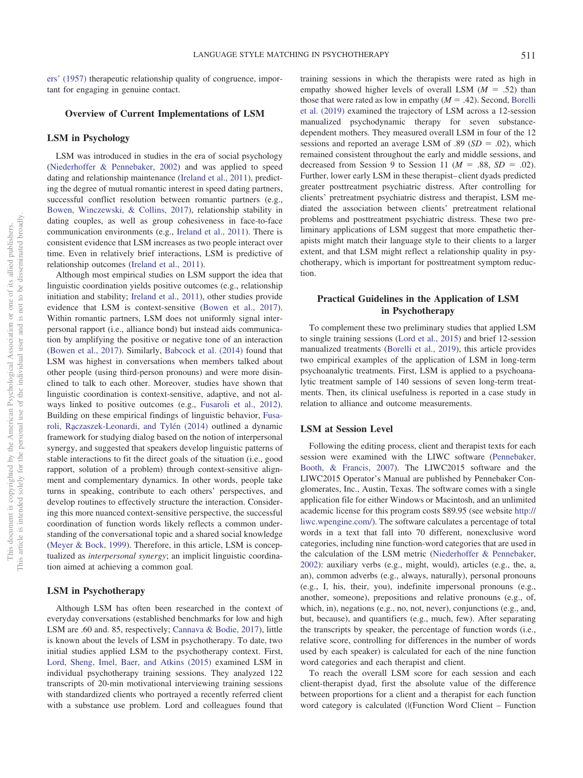[ers' \(1957\)](#page-12-17) therapeutic relationship quality of congruence, important for engaging in genuine contact.

## **Overview of Current Implementations of LSM**

## **LSM in Psychology**

LSM was introduced in studies in the era of social psychology [\(Niederhoffer & Pennebaker, 2002\)](#page-12-0) and was applied to speed dating and relationship maintenance [\(Ireland et al., 2011\)](#page-12-13), predicting the degree of mutual romantic interest in speed dating partners, successful conflict resolution between romantic partners (e.g., [Bowen, Winczewski, & Collins, 2017\)](#page-11-10), relationship stability in dating couples, as well as group cohesiveness in face-to-face communication environments (e.g., [Ireland et al., 2011\)](#page-12-13). There is consistent evidence that LSM increases as two people interact over time. Even in relatively brief interactions, LSM is predictive of relationship outcomes [\(Ireland et al., 2011\)](#page-12-13).

Although most empirical studies on LSM support the idea that linguistic coordination yields positive outcomes (e.g., relationship initiation and stability; [Ireland et al., 2011\)](#page-12-13), other studies provide evidence that LSM is context-sensitive [\(Bowen et al., 2017\)](#page-11-10). Within romantic partners, LSM does not uniformly signal interpersonal rapport (i.e., alliance bond) but instead aids communication by amplifying the positive or negative tone of an interaction [\(Bowen et al., 2017\)](#page-11-10). Similarly, [Babcock et al. \(2014\)](#page-11-6) found that LSM was highest in conversations when members talked about other people (using third-person pronouns) and were more disinclined to talk to each other. Moreover, studies have shown that linguistic coordination is context-sensitive, adaptive, and not always linked to positive outcomes (e.g., [Fusaroli et al., 2012\)](#page-11-11). Building on these empirical findings of linguistic behavior, [Fusa](#page-11-12)[roli, Ra˛czaszek-Leonardi, and Tylén \(2014\)](#page-11-12) outlined a dynamic framework for studying dialog based on the notion of interpersonal synergy, and suggested that speakers develop linguistic patterns of stable interactions to fit the direct goals of the situation (i.e., good rapport, solution of a problem) through context-sensitive alignment and complementary dynamics. In other words, people take turns in speaking, contribute to each others' perspectives, and develop routines to effectively structure the interaction. Considering this more nuanced context-sensitive perspective, the successful coordination of function words likely reflects a common understanding of the conversational topic and a shared social knowledge [\(Meyer & Bock, 1999\)](#page-12-18). Therefore, in this article, LSM is conceptualized as *interpersonal synergy*; an implicit linguistic coordination aimed at achieving a common goal.

# **LSM in Psychotherapy**

Although LSM has often been researched in the context of everyday conversations (established benchmarks for low and high LSM are .60 and. 85, respectively; [Cannava & Bodie, 2017\)](#page-11-8), little is known about the levels of LSM in psychotherapy. To date, two initial studies applied LSM to the psychotherapy context. First, [Lord, Sheng, Imel, Baer, and Atkins \(2015\)](#page-12-19) examined LSM in individual psychotherapy training sessions. They analyzed 122 transcripts of 20-min motivational interviewing training sessions with standardized clients who portrayed a recently referred client with a substance use problem. Lord and colleagues found that training sessions in which the therapists were rated as high in empathy showed higher levels of overall LSM  $(M = .52)$  than those that were rated as low in empathy  $(M = .42)$ . Second, [Borelli](#page-11-13) [et al. \(2019\)](#page-11-13) examined the trajectory of LSM across a 12-session manualized psychodynamic therapy for seven substancedependent mothers. They measured overall LSM in four of the 12 sessions and reported an average LSM of  $.89$  ( $SD = .02$ ), which remained consistent throughout the early and middle sessions, and decreased from Session 9 to Session 11 ( $M = .88$ ,  $SD = .02$ ). Further, lower early LSM in these therapist–client dyads predicted greater posttreatment psychiatric distress. After controlling for clients' pretreatment psychiatric distress and therapist, LSM mediated the association between clients' pretreatment relational problems and posttreatment psychiatric distress. These two preliminary applications of LSM suggest that more empathetic therapists might match their language style to their clients to a larger extent, and that LSM might reflect a relationship quality in psychotherapy, which is important for posttreatment symptom reduction.

# **Practical Guidelines in the Application of LSM in Psychotherapy**

To complement these two preliminary studies that applied LSM to single training sessions [\(Lord et al., 2015\)](#page-12-19) and brief 12-session manualized treatments [\(Borelli et al., 2019\)](#page-11-13), this article provides two empirical examples of the application of LSM in long-term psychoanalytic treatments. First, LSM is applied to a psychoanalytic treatment sample of 140 sessions of seven long-term treatments. Then, its clinical usefulness is reported in a case study in relation to alliance and outcome measurements.

## **LSM at Session Level**

Following the editing process, client and therapist texts for each session were examined with the LIWC software [\(Pennebaker,](#page-12-20) [Booth, & Francis, 2007\)](#page-12-20). The LIWC2015 software and the LIWC2015 Operator's Manual are published by Pennebaker Conglomerates, Inc., Austin, Texas. The software comes with a single application file for either Windows or Macintosh, and an unlimited academic license for this program costs \$89.95 (see website [http://](http://liwc.wpengine.com/) [liwc.wpengine.com/\)](http://liwc.wpengine.com/). The software calculates a percentage of total words in a text that fall into 70 different, nonexclusive word categories, including nine function-word categories that are used in the calculation of the LSM metric [\(Niederhoffer & Pennebaker,](#page-12-0) [2002\)](#page-12-0): auxiliary verbs (e.g., might, would), articles (e.g., the, a, an), common adverbs (e.g., always, naturally), personal pronouns (e.g., I, his, their, you), indefinite impersonal pronouns (e.g., another, someone), prepositions and relative pronouns (e.g., of, which, in), negations (e.g., no, not, never), conjunctions (e.g., and, but, because), and quantifiers (e.g., much, few). After separating the transcripts by speaker, the percentage of function words (i.e., relative score, controlling for differences in the number of words used by each speaker) is calculated for each of the nine function word categories and each therapist and client.

To reach the overall LSM score for each session and each client-therapist dyad, first the absolute value of the difference between proportions for a client and a therapist for each function word category is calculated (|(Function Word Client – Function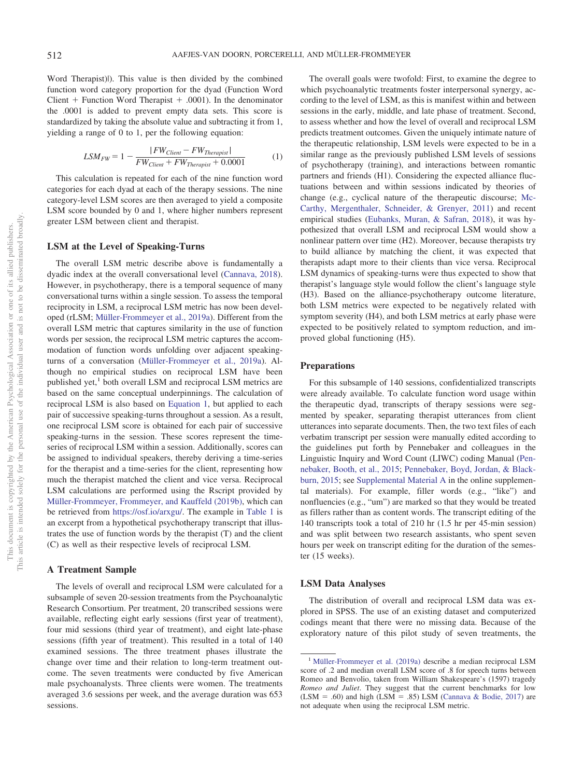Word Therapist)|). This value is then divided by the combined function word category proportion for the dyad (Function Word Client  $+$  Function Word Therapist  $+$  .0001). In the denominator the .0001 is added to prevent empty data sets. This score is standardized by taking the absolute value and subtracting it from 1, yielding a range of 0 to 1, per the following equation:

$$
LSM_{FW} = 1 - \frac{|FW_{Client} - FW_{Therapist}|}{FW_{Client} + FW_{Therapist} + 0.0001}
$$
 (1)

<span id="page-3-0"></span>This calculation is repeated for each of the nine function word categories for each dyad at each of the therapy sessions. The nine category-level LSM scores are then averaged to yield a composite LSM score bounded by 0 and 1, where higher numbers represent greater LSM between client and therapist.

## **LSM at the Level of Speaking-Turns**

The overall LSM metric describe above is fundamentally a dyadic index at the overall conversational level [\(Cannava, 2018\)](#page-11-14). However, in psychotherapy, there is a temporal sequence of many conversational turns within a single session. To assess the temporal reciprocity in LSM, a reciprocal LSM metric has now been developed (rLSM; [Müller-Frommeyer et al., 2019a\)](#page-12-5). Different from the overall LSM metric that captures similarity in the use of function words per session, the reciprocal LSM metric captures the accommodation of function words unfolding over adjacent speakingturns of a conversation [\(Müller-Frommeyer et al., 2019a\)](#page-12-5). Although no empirical studies on reciprocal LSM have been published yet, $<sup>1</sup>$  both overall LSM and reciprocal LSM metrics are</sup> based on the same conceptual underpinnings. The calculation of reciprocal LSM is also based on [Equation 1,](#page-3-0) but applied to each pair of successive speaking-turns throughout a session. As a result, one reciprocal LSM score is obtained for each pair of successive speaking-turns in the session. These scores represent the timeseries of reciprocal LSM within a session. Additionally, scores can be assigned to individual speakers, thereby deriving a time-series for the therapist and a time-series for the client, representing how much the therapist matched the client and vice versa. Reciprocal LSM calculations are performed using the Rscript provided by [Müller-Frommeyer, Frommeyer, and Kauffeld \(2019b\),](#page-12-21) which can be retrieved from [https://osf.io/arxgu/.](https://osf.io/arxgu/) The example in [Table 1](#page-4-0) is an excerpt from a hypothetical psychotherapy transcript that illustrates the use of function words by the therapist (T) and the client (C) as well as their respective levels of reciprocal LSM.

#### **A Treatment Sample**

The levels of overall and reciprocal LSM were calculated for a subsample of seven 20-session treatments from the Psychoanalytic Research Consortium. Per treatment, 20 transcribed sessions were available, reflecting eight early sessions (first year of treatment), four mid sessions (third year of treatment), and eight late-phase sessions (fifth year of treatment). This resulted in a total of 140 examined sessions. The three treatment phases illustrate the change over time and their relation to long-term treatment outcome. The seven treatments were conducted by five American male psychoanalysts. Three clients were women. The treatments averaged 3.6 sessions per week, and the average duration was 653 sessions.

The overall goals were twofold: First, to examine the degree to which psychoanalytic treatments foster interpersonal synergy, according to the level of LSM, as this is manifest within and between sessions in the early, middle, and late phase of treatment. Second, to assess whether and how the level of overall and reciprocal LSM predicts treatment outcomes. Given the uniquely intimate nature of the therapeutic relationship, LSM levels were expected to be in a similar range as the previously published LSM levels of sessions of psychotherapy (training), and interactions between romantic partners and friends (H1). Considering the expected alliance fluctuations between and within sessions indicated by theories of change (e.g., cyclical nature of the therapeutic discourse; [Mc-](#page-12-22)[Carthy, Mergenthaler, Schneider, & Grenyer, 2011\)](#page-12-22) and recent empirical studies [\(Eubanks, Muran, & Safran, 2018\)](#page-11-15), it was hypothesized that overall LSM and reciprocal LSM would show a nonlinear pattern over time (H2). Moreover, because therapists try to build alliance by matching the client, it was expected that therapists adapt more to their clients than vice versa. Reciprocal LSM dynamics of speaking-turns were thus expected to show that therapist's language style would follow the client's language style (H3). Based on the alliance-psychotherapy outcome literature, both LSM metrics were expected to be negatively related with symptom severity (H4), and both LSM metrics at early phase were expected to be positively related to symptom reduction, and improved global functioning (H5).

## **Preparations**

For this subsample of 140 sessions, confidentialized transcripts were already available. To calculate function word usage within the therapeutic dyad, transcripts of therapy sessions were segmented by speaker, separating therapist utterances from client utterances into separate documents. Then, the two text files of each verbatim transcript per session were manually edited according to the guidelines put forth by Pennebaker and colleagues in the Linguistic Inquiry and Word Count (LIWC) coding Manual [\(Pen](#page-12-23)[nebaker, Booth, et al., 2015;](#page-12-23) [Pennebaker, Boyd, Jordan, & Black](#page-12-24)[burn, 2015;](#page-12-24) see [Supplemental Material A](http://dx.doi.org/10.1037/cou0000433.supp) in the online supplemental materials). For example, filler words (e.g., "like") and nonfluencies (e.g., "um") are marked so that they would be treated as fillers rather than as content words. The transcript editing of the 140 transcripts took a total of 210 hr (1.5 hr per 45-min session) and was split between two research assistants, who spent seven hours per week on transcript editing for the duration of the semester (15 weeks).

## **LSM Data Analyses**

The distribution of overall and reciprocal LSM data was explored in SPSS. The use of an existing dataset and computerized codings meant that there were no missing data. Because of the exploratory nature of this pilot study of seven treatments, the

<sup>&</sup>lt;sup>1</sup> [Müller-Frommeyer et al. \(2019a\)](#page-12-5) describe a median reciprocal LSM score of .2 and median overall LSM score of .8 for speech turns between Romeo and Benvolio, taken from William Shakespeare's (1597) tragedy *Romeo and Juliet*. They suggest that the current benchmarks for low  $(LSM = .60)$  and high  $(LSM = .85)$  LSM [\(Cannava & Bodie, 2017\)](#page-11-8) are not adequate when using the reciprocal LSM metric.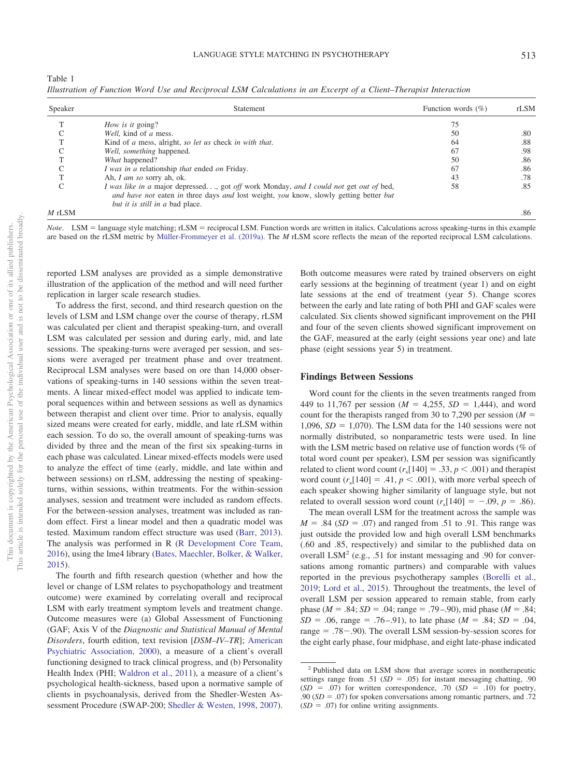<span id="page-4-0"></span>

| Table 1                                                                                                           |  |  |  |
|-------------------------------------------------------------------------------------------------------------------|--|--|--|
| Illustration of Function Word Use and Reciprocal LSM Calculations in an Excerpt of a Client–Therapist Interaction |  |  |  |

| Speaker    | Statement                                                                                                                                                                                                         | Function words $(\% )$ | rLSM |
|------------|-------------------------------------------------------------------------------------------------------------------------------------------------------------------------------------------------------------------|------------------------|------|
|            | How is it going?                                                                                                                                                                                                  | 75                     |      |
|            | Well, kind of a mess.                                                                                                                                                                                             | 50                     | .80  |
|            | Kind of a mess, alright, so let us check in with that.                                                                                                                                                            | 64                     | .88  |
|            | Well, something happened.                                                                                                                                                                                         | 67                     | .98  |
|            | What happened?                                                                                                                                                                                                    | 50                     | .86  |
| $\sqrt{ }$ | I was in a relationship that ended on Friday.                                                                                                                                                                     | 67                     | .86  |
|            | Ah, I am so sorry ah, ok.                                                                                                                                                                                         | 43                     | .78  |
| C          | I was like in a major depressed, got off work Monday, and I could not get out of bed,<br>and have not eaten in three days and lost weight, you know, slowly getting better but<br>but it is still in a bad place. | 58                     | .85  |
| $M$ rLSM   |                                                                                                                                                                                                                   |                        | .86  |

Note. LSM = language style matching; rLSM = reciprocal LSM. Function words are written in italics. Calculations across speaking-turns in this example are based on the rLSM metric by [Müller-Frommeyer et al. \(2019a\).](#page-12-5) The *M* rLSM score reflects the mean of the reported reciprocal LSM calculations.

reported LSM analyses are provided as a simple demonstrative illustration of the application of the method and will need further replication in larger scale research studies.

To address the first, second, and third research question on the levels of LSM and LSM change over the course of therapy, rLSM was calculated per client and therapist speaking-turn, and overall LSM was calculated per session and during early, mid, and late sessions. The speaking-turns were averaged per session, and sessions were averaged per treatment phase and over treatment. Reciprocal LSM analyses were based on ore than 14,000 observations of speaking-turns in 140 sessions within the seven treatments. A linear mixed-effect model was applied to indicate temporal sequences within and between sessions as well as dynamics between therapist and client over time. Prior to analysis, equally sized means were created for early, middle, and late rLSM within each session. To do so, the overall amount of speaking-turns was divided by three and the mean of the first six speaking-turns in each phase was calculated. Linear mixed-effects models were used to analyze the effect of time (early, middle, and late within and between sessions) on rLSM, addressing the nesting of speakingturns, within sessions, within treatments. For the within-session analyses, session and treatment were included as random effects. For the between-session analyses, treatment was included as random effect. First a linear model and then a quadratic model was tested. Maximum random effect structure was used [\(Barr, 2013\)](#page-11-16). The analysis was performed in R [\(R Development Core Team,](#page-12-25) [2016\)](#page-12-25), using the lme4 library [\(Bates, Maechler, Bolker, & Walker,](#page-11-17) [2015\)](#page-11-17).

The fourth and fifth research question (whether and how the level or change of LSM relates to psychopathology and treatment outcome) were examined by correlating overall and reciprocal LSM with early treatment symptom levels and treatment change. Outcome measures were (a) Global Assessment of Functioning (GAF; Axis V of the *Diagnostic and Statistical Manual of Mental Disorders*, fourth edition, text revision [*DSM–IV–TR*]; [American](#page-11-18) [Psychiatric Association, 2000\)](#page-11-18), a measure of a client's overall functioning designed to track clinical progress, and (b) Personality Health Index (PHI; [Waldron et al., 2011\)](#page-13-1), a measure of a client's psychological health-sickness, based upon a normative sample of clients in psychoanalysis, derived from the Shedler-Westen Assessment Procedure (SWAP-200; [Shedler & Westen, 1998,](#page-13-2) [2007\)](#page-13-3).

Both outcome measures were rated by trained observers on eight early sessions at the beginning of treatment (year 1) and on eight late sessions at the end of treatment (year 5). Change scores between the early and late rating of both PHI and GAF scales were calculated. Six clients showed significant improvement on the PHI and four of the seven clients showed significant improvement on the GAF, measured at the early (eight sessions year one) and late phase (eight sessions year 5) in treatment.

#### **Findings Between Sessions**

Word count for the clients in the seven treatments ranged from 449 to 11,767 per session ( $M = 4,255$ ,  $SD = 1,444$ ), and word count for the therapists ranged from 30 to 7,290 per session  $(M =$ 1,096,  $SD = 1,070$ ). The LSM data for the 140 sessions were not normally distributed, so nonparametric tests were used. In line with the LSM metric based on relative use of function words (% of total word count per speaker), LSM per session was significantly related to client word count  $(r_s[140] = .33, p < .001)$  and therapist word count  $(r_s[140] = .41, p < .001)$ , with more verbal speech of each speaker showing higher similarity of language style, but not related to overall session word count  $(r_s[140] = -.09, p = .86)$ .

The mean overall LSM for the treatment across the sample was  $M = .84$  (*SD* = .07) and ranged from .51 to .91. This range was just outside the provided low and high overall LSM benchmarks (.60 and .85, respectively) and similar to the published data on overall LSM2 (e.g., .51 for instant messaging and .90 for conversations among romantic partners) and comparable with values reported in the previous psychotherapy samples [\(Borelli et al.,](#page-11-13) [2019;](#page-11-13) [Lord et al., 2015\)](#page-12-19). Throughout the treatments, the level of overall LSM per session appeared to remain stable, from early phase ( $M = .84$ ;  $SD = .04$ ; range = .79–.90), mid phase ( $M = .84$ ;  $SD = .06$ , range = .76–.91), to late phase ( $M = .84$ ;  $SD = .04$ ,  $range = .78 - .90$ ). The overall LSM session-by-session scores for the eight early phase, four midphase, and eight late-phase indicated

<sup>2</sup> Published data on LSM show that average scores in nontherapeutic settings range from .51 ( $SD = .05$ ) for instant messaging chatting, .90  $(SD = .07)$  for written correspondence, .70  $(SD = .10)$  for poetry, .90  $(SD = .07)$  for spoken conversations among romantic partners, and .72  $(SD = .07)$  for online writing assignments.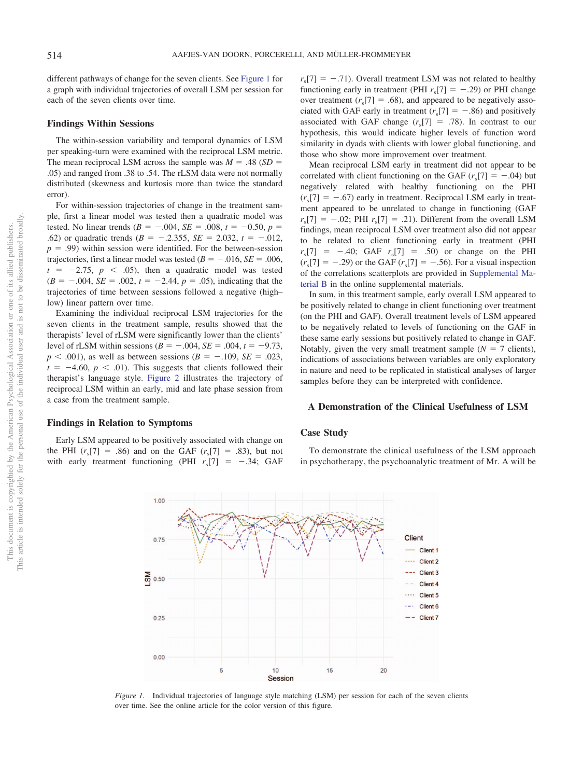different pathways of change for the seven clients. See [Figure 1](#page-5-0) for a graph with individual trajectories of overall LSM per session for each of the seven clients over time.

## **Findings Within Sessions**

The within-session variability and temporal dynamics of LSM per speaking-turn were examined with the reciprocal LSM metric. The mean reciprocal LSM across the sample was  $M = .48$  (*SD* = .05) and ranged from .38 to .54. The rLSM data were not normally distributed (skewness and kurtosis more than twice the standard error).

For within-session trajectories of change in the treatment sample, first a linear model was tested then a quadratic model was tested. No linear trends  $(B = -.004, SE = .008, t = -0.50, p =$ .62) or quadratic trends  $(B = -.2.355, SE = 2.032, t = -.012,$  $p = .99$ ) within session were identified. For the between-session trajectories, first a linear model was tested  $(B = -.016, SE = .006,$  $t = -2.75$ ,  $p < .05$ ), then a quadratic model was tested  $(B = -.004, SE = .002, t = -2.44, p = .05)$ , indicating that the trajectories of time between sessions followed a negative (high– low) linear pattern over time.

Examining the individual reciprocal LSM trajectories for the seven clients in the treatment sample, results showed that the therapists' level of rLSM were significantly lower than the clients' level of rLSM within sessions  $(B = -.004, SE = .004, t = -9.73,$  $p < .001$ ), as well as between sessions ( $B = -.109$ ,  $SE = .023$ ,  $t = -4.60, p < .01$ ). This suggests that clients followed their therapist's language style. [Figure 2](#page-6-0) illustrates the trajectory of reciprocal LSM within an early, mid and late phase session from a case from the treatment sample.

# **Findings in Relation to Symptoms**

Early LSM appeared to be positively associated with change on the PHI  $(r_s[7] = .86)$  and on the GAF  $(r_s[7] = .83)$ , but not with early treatment functioning (PHI  $r_s$ [7] = -.34; GAF

 $r_s$ [7] = -.71). Overall treatment LSM was not related to healthy functioning early in treatment (PHI  $r_s$ [7] = -.29) or PHI change over treatment  $(r_s[7] = .68)$ , and appeared to be negatively associated with GAF early in treatment  $(r_s[7] = -.86)$  and positively associated with GAF change  $(r_s[7] = .78)$ . In contrast to our hypothesis, this would indicate higher levels of function word similarity in dyads with clients with lower global functioning, and those who show more improvement over treatment.

Mean reciprocal LSM early in treatment did not appear to be correlated with client functioning on the GAF  $(r_s[T] = -.04)$  but negatively related with healthy functioning on the PHI  $(r_s[7] = -.67)$  early in treatment. Reciprocal LSM early in treatment appeared to be unrelated to change in functioning (GAF  $r_s[7] = -.02$ ; PHI  $r_s[7] = .21$ ). Different from the overall LSM findings, mean reciprocal LSM over treatment also did not appear to be related to client functioning early in treatment (PHI  $r_s$ [7] = -.40; GAF  $r_s$ [7] = .50) or change on the PHI  $(r_s[7] = -.29)$  or the GAF  $(r_s[7] = -.56)$ . For a visual inspection of the correlations scatterplots are provided in [Supplemental Ma](http://dx.doi.org/10.1037/cou0000433.supp)[terial B](http://dx.doi.org/10.1037/cou0000433.supp) in the online supplemental materials.

In sum, in this treatment sample, early overall LSM appeared to be positively related to change in client functioning over treatment (on the PHI and GAF). Overall treatment levels of LSM appeared to be negatively related to levels of functioning on the GAF in these same early sessions but positively related to change in GAF. Notably, given the very small treatment sample  $(N = 7$  clients), indications of associations between variables are only exploratory in nature and need to be replicated in statistical analyses of larger samples before they can be interpreted with confidence.

## **A Demonstration of the Clinical Usefulness of LSM**

## **Case Study**

To demonstrate the clinical usefulness of the LSM approach in psychotherapy, the psychoanalytic treatment of Mr. A will be



<span id="page-5-0"></span>*Figure 1.* Individual trajectories of language style matching (LSM) per session for each of the seven clients over time. See the online article for the color version of this figure.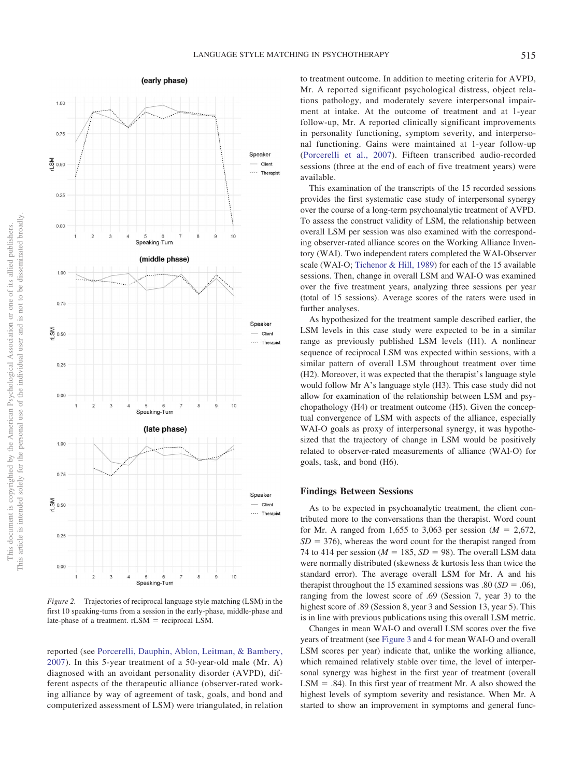

<span id="page-6-0"></span>*Figure 2.* Trajectories of reciprocal language style matching (LSM) in the first 10 speaking-turns from a session in the early-phase, middle-phase and late-phase of a treatment. rLSM = reciprocal LSM.

reported (see [Porcerelli, Dauphin, Ablon, Leitman, & Bambery,](#page-12-26) [2007\)](#page-12-26). In this 5-year treatment of a 50-year-old male (Mr. A) diagnosed with an avoidant personality disorder (AVPD), different aspects of the therapeutic alliance (observer-rated working alliance by way of agreement of task, goals, and bond and computerized assessment of LSM) were triangulated, in relation

to treatment outcome. In addition to meeting criteria for AVPD, Mr. A reported significant psychological distress, object relations pathology, and moderately severe interpersonal impairment at intake. At the outcome of treatment and at 1-year follow-up, Mr. A reported clinically significant improvements in personality functioning, symptom severity, and interpersonal functioning. Gains were maintained at 1-year follow-up [\(Porcerelli et al., 2007\)](#page-12-26). Fifteen transcribed audio-recorded sessions (three at the end of each of five treatment years) were available.

This examination of the transcripts of the 15 recorded sessions provides the first systematic case study of interpersonal synergy over the course of a long-term psychoanalytic treatment of AVPD. To assess the construct validity of LSM, the relationship between overall LSM per session was also examined with the corresponding observer-rated alliance scores on the Working Alliance Inventory (WAI). Two independent raters completed the WAI-Observer scale (WAI-O; [Tichenor & Hill, 1989\)](#page-13-4) for each of the 15 available sessions. Then, change in overall LSM and WAI-O was examined over the five treatment years, analyzing three sessions per year (total of 15 sessions). Average scores of the raters were used in further analyses.

As hypothesized for the treatment sample described earlier, the LSM levels in this case study were expected to be in a similar range as previously published LSM levels (H1). A nonlinear sequence of reciprocal LSM was expected within sessions, with a similar pattern of overall LSM throughout treatment over time (H2). Moreover, it was expected that the therapist's language style would follow Mr A's language style (H3). This case study did not allow for examination of the relationship between LSM and psychopathology (H4) or treatment outcome (H5). Given the conceptual convergence of LSM with aspects of the alliance, especially WAI-O goals as proxy of interpersonal synergy, it was hypothesized that the trajectory of change in LSM would be positively related to observer-rated measurements of alliance (WAI-O) for goals, task, and bond (H6).

## **Findings Between Sessions**

As to be expected in psychoanalytic treatment, the client contributed more to the conversations than the therapist. Word count for Mr. A ranged from 1,655 to 3,063 per session ( $M = 2,672$ ,  $SD = 376$ ), whereas the word count for the therapist ranged from 74 to 414 per session ( $M = 185$ ,  $SD = 98$ ). The overall LSM data were normally distributed (skewness & kurtosis less than twice the standard error). The average overall LSM for Mr. A and his therapist throughout the 15 examined sessions was  $.80$  (*SD* =  $.06$ ), ranging from the lowest score of .69 (Session 7, year 3) to the highest score of .89 (Session 8, year 3 and Session 13, year 5). This is in line with previous publications using this overall LSM metric.

Changes in mean WAI-O and overall LSM scores over the five years of treatment (see [Figure 3](#page-7-0) and [4](#page-7-1) for mean WAI-O and overall LSM scores per year) indicate that, unlike the working alliance, which remained relatively stable over time, the level of interpersonal synergy was highest in the first year of treatment (overall  $LSM = .84$ ). In this first year of treatment Mr. A also showed the highest levels of symptom severity and resistance. When Mr. A started to show an improvement in symptoms and general func-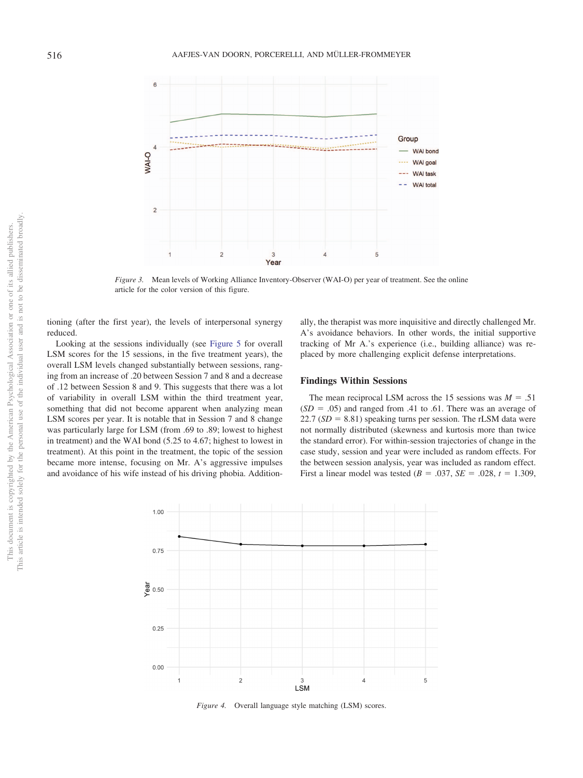

<span id="page-7-0"></span>*Figure 3.* Mean levels of Working Alliance Inventory-Observer (WAI-O) per year of treatment. See the online article for the color version of this figure.

tioning (after the first year), the levels of interpersonal synergy reduced.

Looking at the sessions individually (see [Figure 5](#page-8-0) for overall LSM scores for the 15 sessions, in the five treatment years), the overall LSM levels changed substantially between sessions, ranging from an increase of .20 between Session 7 and 8 and a decrease of .12 between Session 8 and 9. This suggests that there was a lot of variability in overall LSM within the third treatment year, something that did not become apparent when analyzing mean LSM scores per year. It is notable that in Session 7 and 8 change was particularly large for LSM (from .69 to .89; lowest to highest in treatment) and the WAI bond (5.25 to 4.67; highest to lowest in treatment). At this point in the treatment, the topic of the session became more intense, focusing on Mr. A's aggressive impulses and avoidance of his wife instead of his driving phobia. Additionally, the therapist was more inquisitive and directly challenged Mr. A's avoidance behaviors. In other words, the initial supportive tracking of Mr A.'s experience (i.e., building alliance) was replaced by more challenging explicit defense interpretations.

## **Findings Within Sessions**

The mean reciprocal LSM across the 15 sessions was  $M = .51$  $(SD = .05)$  and ranged from .41 to .61. There was an average of  $22.7 (SD = 8.81)$  speaking turns per session. The rLSM data were not normally distributed (skewness and kurtosis more than twice the standard error). For within-session trajectories of change in the case study, session and year were included as random effects. For the between session analysis, year was included as random effect. First a linear model was tested  $(B = .037, SE = .028, t = 1.309,$ 



<span id="page-7-1"></span>*Figure 4.* Overall language style matching (LSM) scores.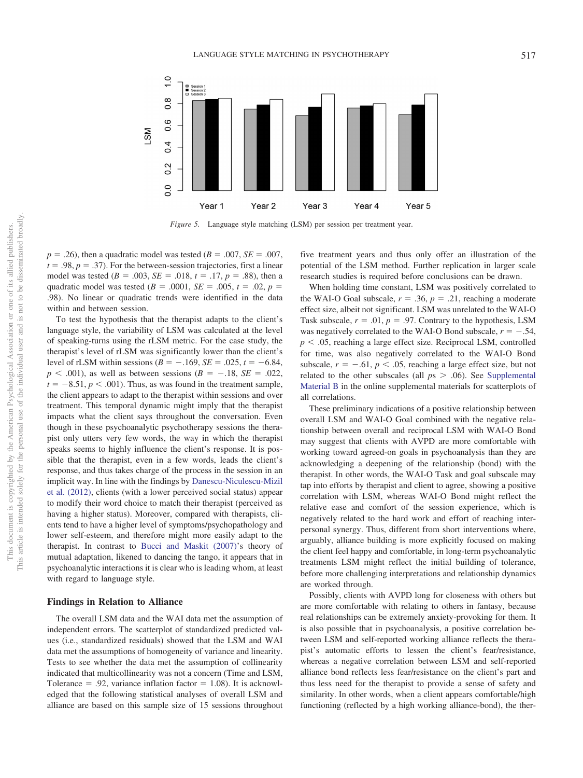

<span id="page-8-0"></span>*Figure 5.* Language style matching (LSM) per session per treatment year.

 $p = .26$ ), then a quadratic model was tested ( $B = .007$ ,  $SE = .007$ ,  $t = .98, p = .37$ ). For the between-session trajectories, first a linear model was tested  $(B = .003, SE = .018, t = .17, p = .88)$ , then a quadratic model was tested  $(B = .0001, SE = .005, t = .02, p =$ .98). No linear or quadratic trends were identified in the data within and between session.

To test the hypothesis that the therapist adapts to the client's language style, the variability of LSM was calculated at the level of speaking-turns using the rLSM metric. For the case study, the therapist's level of rLSM was significantly lower than the client's level of rLSM within sessions  $(B = -.169, SE = .025, t = -6.84,$  $p < .001$ ), as well as between sessions ( $B = -.18$ ,  $SE = .022$ ,  $t = -8.51, p < .001$ ). Thus, as was found in the treatment sample, the client appears to adapt to the therapist within sessions and over treatment. This temporal dynamic might imply that the therapist impacts what the client says throughout the conversation. Even though in these psychoanalytic psychotherapy sessions the therapist only utters very few words, the way in which the therapist speaks seems to highly influence the client's response. It is possible that the therapist, even in a few words, leads the client's response, and thus takes charge of the process in the session in an implicit way. In line with the findings by [Danescu-Niculescu-Mizil](#page-11-3) [et al. \(2012\),](#page-11-3) clients (with a lower perceived social status) appear to modify their word choice to match their therapist (perceived as having a higher status). Moreover, compared with therapists, clients tend to have a higher level of symptoms/psychopathology and lower self-esteem, and therefore might more easily adapt to the therapist. In contrast to [Bucci and Maskit \(2007\)'](#page-11-4)s theory of mutual adaptation, likened to dancing the tango, it appears that in psychoanalytic interactions it is clear who is leading whom, at least with regard to language style.

#### **Findings in Relation to Alliance**

The overall LSM data and the WAI data met the assumption of independent errors. The scatterplot of standardized predicted values (i.e., standardized residuals) showed that the LSM and WAI data met the assumptions of homogeneity of variance and linearity. Tests to see whether the data met the assumption of collinearity indicated that multicollinearity was not a concern (Time and LSM, Tolerance  $= .92$ , variance inflation factor  $= 1.08$ ). It is acknowledged that the following statistical analyses of overall LSM and alliance are based on this sample size of 15 sessions throughout

five treatment years and thus only offer an illustration of the potential of the LSM method. Further replication in larger scale research studies is required before conclusions can be drawn.

When holding time constant, LSM was positively correlated to the WAI-O Goal subscale,  $r = .36$ ,  $p = .21$ , reaching a moderate effect size, albeit not significant. LSM was unrelated to the WAI-O Task subscale,  $r = .01$ ,  $p = .97$ . Contrary to the hypothesis, LSM was negatively correlated to the WAI-O Bond subscale,  $r = -.54$ ,  $p < .05$ , reaching a large effect size. Reciprocal LSM, controlled for time, was also negatively correlated to the WAI-O Bond subscale,  $r = -.61$ ,  $p < .05$ , reaching a large effect size, but not related to the other subscales (all  $p_s > .06$ ). See [Supplemental](http://dx.doi.org/10.1037/cou0000433.supp) [Material B](http://dx.doi.org/10.1037/cou0000433.supp) in the online supplemental materials for scatterplots of all correlations.

These preliminary indications of a positive relationship between overall LSM and WAI-O Goal combined with the negative relationship between overall and reciprocal LSM with WAI-O Bond may suggest that clients with AVPD are more comfortable with working toward agreed-on goals in psychoanalysis than they are acknowledging a deepening of the relationship (bond) with the therapist. In other words, the WAI-O Task and goal subscale may tap into efforts by therapist and client to agree, showing a positive correlation with LSM, whereas WAI-O Bond might reflect the relative ease and comfort of the session experience, which is negatively related to the hard work and effort of reaching interpersonal synergy. Thus, different from short interventions where, arguably, alliance building is more explicitly focused on making the client feel happy and comfortable, in long-term psychoanalytic treatments LSM might reflect the initial building of tolerance, before more challenging interpretations and relationship dynamics are worked through.

Possibly, clients with AVPD long for closeness with others but are more comfortable with relating to others in fantasy, because real relationships can be extremely anxiety-provoking for them. It is also possible that in psychoanalysis, a positive correlation between LSM and self-reported working alliance reflects the therapist's automatic efforts to lessen the client's fear/resistance, whereas a negative correlation between LSM and self-reported alliance bond reflects less fear/resistance on the client's part and thus less need for the therapist to provide a sense of safety and similarity. In other words, when a client appears comfortable/high functioning (reflected by a high working alliance-bond), the ther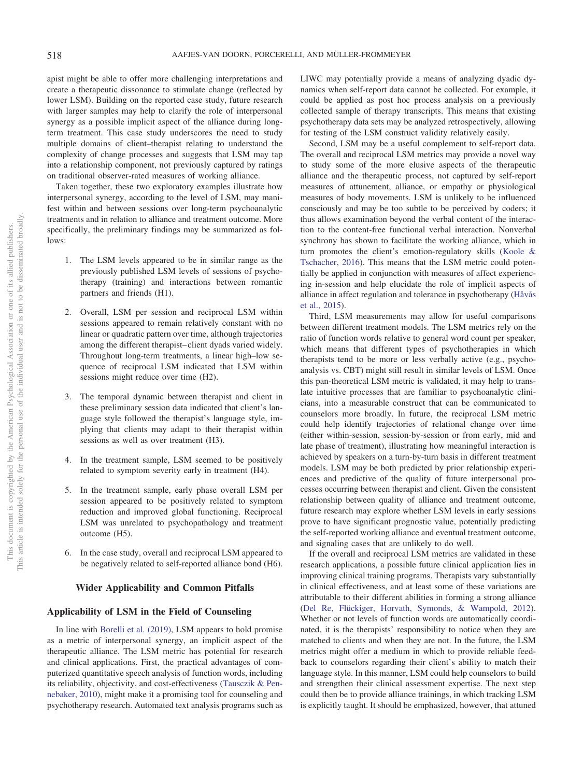apist might be able to offer more challenging interpretations and create a therapeutic dissonance to stimulate change (reflected by lower LSM). Building on the reported case study, future research with larger samples may help to clarify the role of interpersonal synergy as a possible implicit aspect of the alliance during longterm treatment. This case study underscores the need to study multiple domains of client–therapist relating to understand the complexity of change processes and suggests that LSM may tap into a relationship component, not previously captured by ratings on traditional observer-rated measures of working alliance.

Taken together, these two exploratory examples illustrate how interpersonal synergy, according to the level of LSM, may manifest within and between sessions over long-term psychoanalytic treatments and in relation to alliance and treatment outcome. More specifically, the preliminary findings may be summarized as follows:

- 1. The LSM levels appeared to be in similar range as the previously published LSM levels of sessions of psychotherapy (training) and interactions between romantic partners and friends (H1).
- 2. Overall, LSM per session and reciprocal LSM within sessions appeared to remain relatively constant with no linear or quadratic pattern over time, although trajectories among the different therapist–client dyads varied widely. Throughout long-term treatments, a linear high–low sequence of reciprocal LSM indicated that LSM within sessions might reduce over time (H2).
- 3. The temporal dynamic between therapist and client in these preliminary session data indicated that client's language style followed the therapist's language style, implying that clients may adapt to their therapist within sessions as well as over treatment (H3).
- 4. In the treatment sample, LSM seemed to be positively related to symptom severity early in treatment (H4).
- 5. In the treatment sample, early phase overall LSM per session appeared to be positively related to symptom reduction and improved global functioning. Reciprocal LSM was unrelated to psychopathology and treatment outcome (H5).
- 6. In the case study, overall and reciprocal LSM appeared to be negatively related to self-reported alliance bond (H6).

## **Wider Applicability and Common Pitfalls**

# **Applicability of LSM in the Field of Counseling**

In line with [Borelli et al. \(2019\),](#page-11-13) LSM appears to hold promise as a metric of interpersonal synergy, an implicit aspect of the therapeutic alliance. The LSM metric has potential for research and clinical applications. First, the practical advantages of computerized quantitative speech analysis of function words, including its reliability, objectivity, and cost-effectiveness [\(Tausczik & Pen](#page-13-5)[nebaker, 2010\)](#page-13-5), might make it a promising tool for counseling and psychotherapy research. Automated text analysis programs such as LIWC may potentially provide a means of analyzing dyadic dynamics when self-report data cannot be collected. For example, it could be applied as post hoc process analysis on a previously collected sample of therapy transcripts. This means that existing psychotherapy data sets may be analyzed retrospectively, allowing for testing of the LSM construct validity relatively easily.

Second, LSM may be a useful complement to self-report data. The overall and reciprocal LSM metrics may provide a novel way to study some of the more elusive aspects of the therapeutic alliance and the therapeutic process, not captured by self-report measures of attunement, alliance, or empathy or physiological measures of body movements. LSM is unlikely to be influenced consciously and may be too subtle to be perceived by coders; it thus allows examination beyond the verbal content of the interaction to the content-free functional verbal interaction. Nonverbal synchrony has shown to facilitate the working alliance, which in turn promotes the client's emotion-regulatory skills [\(Koole &](#page-12-27) [Tschacher, 2016\)](#page-12-27). This means that the LSM metric could potentially be applied in conjunction with measures of affect experiencing in-session and help elucidate the role of implicit aspects of alliance in affect regulation and tolerance in psychotherapy [\(Håvås](#page-12-4) [et al., 2015\)](#page-12-4).

Third, LSM measurements may allow for useful comparisons between different treatment models. The LSM metrics rely on the ratio of function words relative to general word count per speaker, which means that different types of psychotherapies in which therapists tend to be more or less verbally active (e.g., psychoanalysis vs. CBT) might still result in similar levels of LSM. Once this pan-theoretical LSM metric is validated, it may help to translate intuitive processes that are familiar to psychoanalytic clinicians, into a measurable construct that can be communicated to counselors more broadly. In future, the reciprocal LSM metric could help identify trajectories of relational change over time (either within-session, session-by-session or from early, mid and late phase of treatment), illustrating how meaningful interaction is achieved by speakers on a turn-by-turn basis in different treatment models. LSM may be both predicted by prior relationship experiences and predictive of the quality of future interpersonal processes occurring between therapist and client. Given the consistent relationship between quality of alliance and treatment outcome, future research may explore whether LSM levels in early sessions prove to have significant prognostic value, potentially predicting the self-reported working alliance and eventual treatment outcome, and signaling cases that are unlikely to do well.

If the overall and reciprocal LSM metrics are validated in these research applications, a possible future clinical application lies in improving clinical training programs. Therapists vary substantially in clinical effectiveness, and at least some of these variations are attributable to their different abilities in forming a strong alliance [\(Del Re, Flückiger, Horvath, Symonds, & Wampold, 2012\)](#page-11-19). Whether or not levels of function words are automatically coordinated, it is the therapists' responsibility to notice when they are matched to clients and when they are not. In the future, the LSM metrics might offer a medium in which to provide reliable feedback to counselors regarding their client's ability to match their language style. In this manner, LSM could help counselors to build and strengthen their clinical assessment expertise. The next step could then be to provide alliance trainings, in which tracking LSM is explicitly taught. It should be emphasized, however, that attuned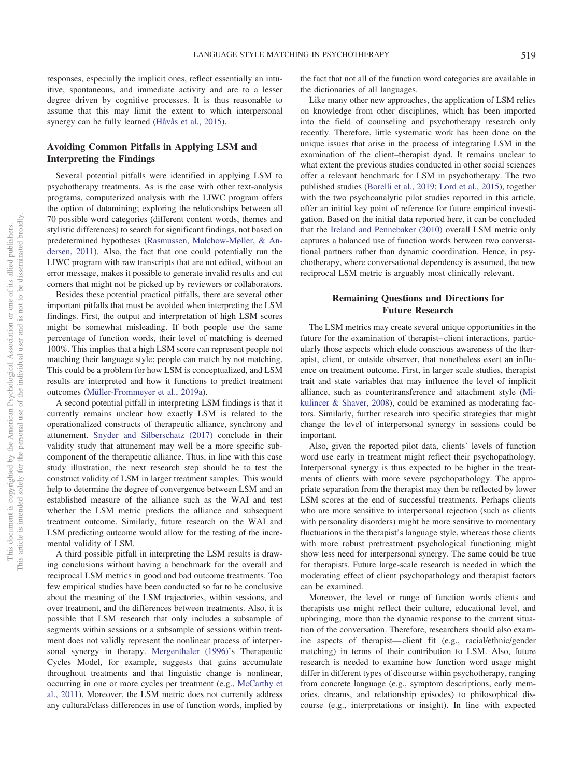responses, especially the implicit ones, reflect essentially an intuitive, spontaneous, and immediate activity and are to a lesser degree driven by cognitive processes. It is thus reasonable to assume that this may limit the extent to which interpersonal synergy can be fully learned [\(Håvås et al., 2015\)](#page-12-4).

# **Avoiding Common Pitfalls in Applying LSM and Interpreting the Findings**

Several potential pitfalls were identified in applying LSM to psychotherapy treatments. As is the case with other text-analysis programs, computerized analysis with the LIWC program offers the option of datamining; exploring the relationships between all 70 possible word categories (different content words, themes and stylistic differences) to search for significant findings, not based on predetermined hypotheses [\(Rasmussen, Malchow-Møller, & An](#page-12-28)[dersen, 2011\)](#page-12-28). Also, the fact that one could potentially run the LIWC program with raw transcripts that are not edited, without an error message, makes it possible to generate invalid results and cut corners that might not be picked up by reviewers or collaborators.

Besides these potential practical pitfalls, there are several other important pitfalls that must be avoided when interpreting the LSM findings. First, the output and interpretation of high LSM scores might be somewhat misleading. If both people use the same percentage of function words, their level of matching is deemed 100%. This implies that a high LSM score can represent people not matching their language style; people can match by not matching. This could be a problem for how LSM is conceptualized, and LSM results are interpreted and how it functions to predict treatment outcomes [\(Müller-Frommeyer et al., 2019a\)](#page-12-5).

A second potential pitfall in interpreting LSM findings is that it currently remains unclear how exactly LSM is related to the operationalized constructs of therapeutic alliance, synchrony and attunement. [Snyder and Silberschatz \(2017\)](#page-13-6) conclude in their validity study that attunement may well be a more specific subcomponent of the therapeutic alliance. Thus, in line with this case study illustration, the next research step should be to test the construct validity of LSM in larger treatment samples. This would help to determine the degree of convergence between LSM and an established measure of the alliance such as the WAI and test whether the LSM metric predicts the alliance and subsequent treatment outcome. Similarly, future research on the WAI and LSM predicting outcome would allow for the testing of the incremental validity of LSM.

A third possible pitfall in interpreting the LSM results is drawing conclusions without having a benchmark for the overall and reciprocal LSM metrics in good and bad outcome treatments. Too few empirical studies have been conducted so far to be conclusive about the meaning of the LSM trajectories, within sessions, and over treatment, and the differences between treatments. Also, it is possible that LSM research that only includes a subsample of segments within sessions or a subsample of sessions within treatment does not validly represent the nonlinear process of interpersonal synergy in therapy. [Mergenthaler \(1996\)'](#page-12-29)s Therapeutic Cycles Model, for example, suggests that gains accumulate throughout treatments and that linguistic change is nonlinear, occurring in one or more cycles per treatment (e.g., [McCarthy et](#page-12-22) [al., 2011\)](#page-12-22). Moreover, the LSM metric does not currently address any cultural/class differences in use of function words, implied by

the fact that not all of the function word categories are available in the dictionaries of all languages.

Like many other new approaches, the application of LSM relies on knowledge from other disciplines, which has been imported into the field of counseling and psychotherapy research only recently. Therefore, little systematic work has been done on the unique issues that arise in the process of integrating LSM in the examination of the client–therapist dyad. It remains unclear to what extent the previous studies conducted in other social sciences offer a relevant benchmark for LSM in psychotherapy. The two published studies [\(Borelli et al., 2019;](#page-11-13) [Lord et al., 2015\)](#page-12-19), together with the two psychoanalytic pilot studies reported in this article, offer an initial key point of reference for future empirical investigation. Based on the initial data reported here, it can be concluded that the [Ireland and Pennebaker \(2010\)](#page-12-11) overall LSM metric only captures a balanced use of function words between two conversational partners rather than dynamic coordination. Hence, in psychotherapy, where conversational dependency is assumed, the new reciprocal LSM metric is arguably most clinically relevant.

# **Remaining Questions and Directions for Future Research**

The LSM metrics may create several unique opportunities in the future for the examination of therapist–client interactions, particularly those aspects which elude conscious awareness of the therapist, client, or outside observer, that nonetheless exert an influence on treatment outcome. First, in larger scale studies, therapist trait and state variables that may influence the level of implicit alliance, such as countertransference and attachment style [\(Mi](#page-12-30)[kulincer & Shaver, 2008\)](#page-12-30), could be examined as moderating factors. Similarly, further research into specific strategies that might change the level of interpersonal synergy in sessions could be important.

Also, given the reported pilot data, clients' levels of function word use early in treatment might reflect their psychopathology. Interpersonal synergy is thus expected to be higher in the treatments of clients with more severe psychopathology. The appropriate separation from the therapist may then be reflected by lower LSM scores at the end of successful treatments. Perhaps clients who are more sensitive to interpersonal rejection (such as clients with personality disorders) might be more sensitive to momentary fluctuations in the therapist's language style, whereas those clients with more robust pretreatment psychological functioning might show less need for interpersonal synergy. The same could be true for therapists. Future large-scale research is needed in which the moderating effect of client psychopathology and therapist factors can be examined.

Moreover, the level or range of function words clients and therapists use might reflect their culture, educational level, and upbringing, more than the dynamic response to the current situation of the conversation. Therefore, researchers should also examine aspects of therapist—client fit (e.g., racial/ethnic/gender matching) in terms of their contribution to LSM. Also, future research is needed to examine how function word usage might differ in different types of discourse within psychotherapy, ranging from concrete language (e.g., symptom descriptions, early memories, dreams, and relationship episodes) to philosophical discourse (e.g., interpretations or insight). In line with expected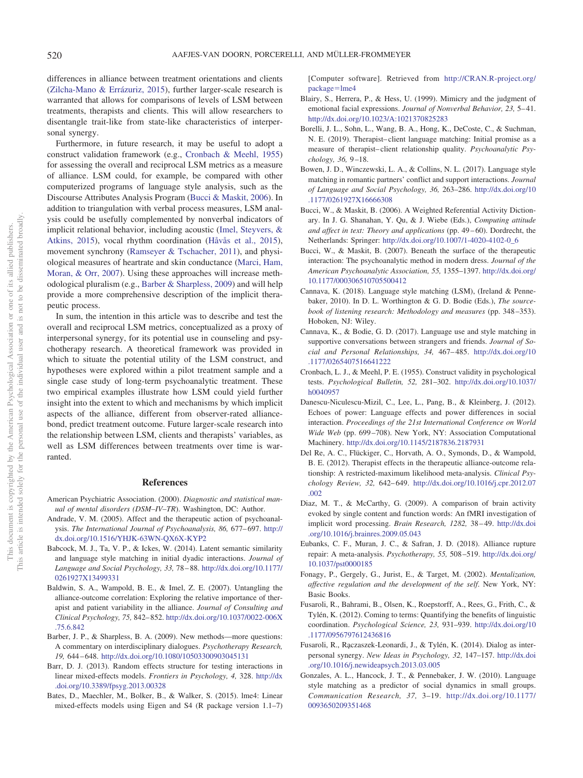differences in alliance between treatment orientations and clients [\(Zilcha-Mano & Errázuriz, 2015\)](#page-13-7), further larger-scale research is warranted that allows for comparisons of levels of LSM between treatments, therapists and clients. This will allow researchers to disentangle trait-like from state-like characteristics of interpersonal synergy.

Furthermore, in future research, it may be useful to adopt a construct validation framework (e.g., [Cronbach & Meehl, 1955\)](#page-11-20) for assessing the overall and reciprocal LSM metrics as a measure of alliance. LSM could, for example, be compared with other computerized programs of language style analysis, such as the Discourse Attributes Analysis Program [\(Bucci & Maskit, 2006\)](#page-11-21). In addition to triangulation with verbal process measures, LSM analysis could be usefully complemented by nonverbal indicators of implicit relational behavior, including acoustic [\(Imel, Steyvers, &](#page-12-31) [Atkins, 2015\)](#page-12-31), vocal rhythm coordination [\(Håvås et al., 2015\)](#page-12-4), movement synchrony [\(Ramseyer & Tschacher, 2011\)](#page-12-32), and physiological measures of heartrate and skin conductance [\(Marci, Ham,](#page-12-33) [Moran, & Orr, 2007\)](#page-12-33). Using these approaches will increase methodological pluralism (e.g., [Barber & Sharpless, 2009\)](#page-11-22) and will help provide a more comprehensive description of the implicit therapeutic process.

In sum, the intention in this article was to describe and test the overall and reciprocal LSM metrics, conceptualized as a proxy of interpersonal synergy, for its potential use in counseling and psychotherapy research. A theoretical framework was provided in which to situate the potential utility of the LSM construct, and hypotheses were explored within a pilot treatment sample and a single case study of long-term psychoanalytic treatment. These two empirical examples illustrate how LSM could yield further insight into the extent to which and mechanisms by which implicit aspects of the alliance, different from observer-rated alliancebond, predict treatment outcome. Future larger-scale research into the relationship between LSM, clients and therapists' variables, as well as LSM differences between treatments over time is warranted.

#### **References**

- <span id="page-11-18"></span>American Psychiatric Association. (2000). *Diagnostic and statistical manual of mental disorders (DSM–IV–TR*). Washington, DC: Author.
- <span id="page-11-5"></span>Andrade, V. M. (2005). Affect and the therapeutic action of psychoanalysis. *The International Journal of Psychoanalysis, 86,* 677–697. [http://](http://dx.doi.org/10.1516/YHJK-63WN-QX6X-KYP2) [dx.doi.org/10.1516/YHJK-63WN-QX6X-KYP2](http://dx.doi.org/10.1516/YHJK-63WN-QX6X-KYP2)
- <span id="page-11-6"></span>Babcock, M. J., Ta, V. P., & Ickes, W. (2014). Latent semantic similarity and language style matching in initial dyadic interactions. *Journal of Language and Social Psychology, 33,* 78–88. [http://dx.doi.org/10.1177/](http://dx.doi.org/10.1177/0261927X13499331) [0261927X13499331](http://dx.doi.org/10.1177/0261927X13499331)
- <span id="page-11-0"></span>Baldwin, S. A., Wampold, B. E., & Imel, Z. E. (2007). Untangling the alliance-outcome correlation: Exploring the relative importance of therapist and patient variability in the alliance. *Journal of Consulting and Clinical Psychology, 75,* 842–852. [http://dx.doi.org/10.1037/0022-006X](http://dx.doi.org/10.1037/0022-006X.75.6.842) [.75.6.842](http://dx.doi.org/10.1037/0022-006X.75.6.842)
- <span id="page-11-22"></span>Barber, J. P., & Sharpless, B. A. (2009). New methods—more questions: A commentary on interdisciplinary dialogues. *Psychotherapy Research, 19,* 644–648. <http://dx.doi.org/10.1080/10503300903045131>
- <span id="page-11-16"></span>Barr, D. J. (2013). Random effects structure for testing interactions in linear mixed-effects models. *Frontiers in Psychology, 4,* 328. [http://dx](http://dx.doi.org/10.3389/fpsyg.2013.00328) [.doi.org/10.3389/fpsyg.2013.00328](http://dx.doi.org/10.3389/fpsyg.2013.00328)
- <span id="page-11-17"></span>Bates, D., Maechler, M., Bolker, B., & Walker, S. (2015). lme4: Linear mixed-effects models using Eigen and S4 (R package version 1.1–7)

[Computer software]. Retrieved from [http://CRAN.R-project.org/](http://CRAN.R-project.org/package=lme4) [package](http://CRAN.R-project.org/package=lme4)-lme4

- <span id="page-11-1"></span>Blairy, S., Herrera, P., & Hess, U. (1999). Mimicry and the judgment of emotional facial expressions. *Journal of Nonverbal Behavior, 23,* 5–41. <http://dx.doi.org/10.1023/A:1021370825283>
- <span id="page-11-13"></span>Borelli, J. L., Sohn, L., Wang, B. A., Hong, K., DeCoste, C., & Suchman, N. E. (2019). Therapist–client language matching: Initial promise as a measure of therapist–client relationship quality. *Psychoanalytic Psychology, 36,* 9–18.
- <span id="page-11-10"></span>Bowen, J. D., Winczewski, L. A., & Collins, N. L. (2017). Language style matching in romantic partners' conflict and support interactions. *Journal of Language and Social Psychology, 36,* 263–286. [http://dx.doi.org/10](http://dx.doi.org/10.1177/0261927X16666308) [.1177/0261927X16666308](http://dx.doi.org/10.1177/0261927X16666308)
- <span id="page-11-21"></span>Bucci, W., & Maskit, B. (2006). A Weighted Referential Activity Dictionary. In J. G. Shanahan, Y. Qu, & J. Wiebe (Eds.), *Computing attitude and affect in text: Theory and applications* (pp. 49–60). Dordrecht, the Netherlands: Springer: [http://dx.doi.org/10.1007/1-4020-4102-0\\_6](http://dx.doi.org/10.1007/1-4020-4102-0_6)
- <span id="page-11-4"></span>Bucci, W., & Maskit, B. (2007). Beneath the surface of the therapeutic interaction: The psychoanalytic method in modern dress. *Journal of the American Psychoanalytic Association, 55,* 1355–1397. [http://dx.doi.org/](http://dx.doi.org/10.1177/000306510705500412) [10.1177/000306510705500412](http://dx.doi.org/10.1177/000306510705500412)
- <span id="page-11-14"></span>Cannava, K. (2018). Language style matching (LSM), (Ireland & Pennebaker, 2010). In D. L. Worthington & G. D. Bodie (Eds.), *The sourcebook of listening research: Methodology and measures* (pp. 348–353). Hoboken, NJ: Wiley.
- <span id="page-11-8"></span>Cannava, K., & Bodie, G. D. (2017). Language use and style matching in supportive conversations between strangers and friends. *Journal of Social and Personal Relationships, 34,* 467–485. [http://dx.doi.org/10](http://dx.doi.org/10.1177/0265407516641222) [.1177/0265407516641222](http://dx.doi.org/10.1177/0265407516641222)
- <span id="page-11-20"></span>Cronbach, L. J., & Meehl, P. E. (1955). Construct validity in psychological tests. *Psychological Bulletin, 52,* 281–302. [http://dx.doi.org/10.1037/](http://dx.doi.org/10.1037/h0040957) [h0040957](http://dx.doi.org/10.1037/h0040957)
- <span id="page-11-3"></span>Danescu-Niculescu-Mizil, C., Lee, L., Pang, B., & Kleinberg, J. (2012). Echoes of power: Language effects and power differences in social interaction. *Proceedings of the 21st International Conference on World Wide Web* (pp. 699–708). New York, NY: Association Computational Machinery. <http://dx.doi.org/10.1145/2187836.2187931>
- <span id="page-11-19"></span>Del Re, A. C., Flückiger, C., Horvath, A. O., Symonds, D., & Wampold, B. E. (2012). Therapist effects in the therapeutic alliance-outcome relationship: A restricted-maximum likelihood meta-analysis. *Clinical Psychology Review, 32,* 642–649. [http://dx.doi.org/10.1016/j.cpr.2012.07](http://dx.doi.org/10.1016/j.cpr.2012.07.002) [.002](http://dx.doi.org/10.1016/j.cpr.2012.07.002)
- <span id="page-11-9"></span>Diaz, M. T., & McCarthy, G. (2009). A comparison of brain activity evoked by single content and function words: An fMRI investigation of implicit word processing. *Brain Research, 1282,* 38–49. [http://dx.doi](http://dx.doi.org/10.1016/j.brainres.2009.05.043) [.org/10.1016/j.brainres.2009.05.043](http://dx.doi.org/10.1016/j.brainres.2009.05.043)
- <span id="page-11-15"></span>Eubanks, C. F., Muran, J. C., & Safran, J. D. (2018). Alliance rupture repair: A meta-analysis. *Psychotherapy, 55,* 508–519. [http://dx.doi.org/](http://dx.doi.org/10.1037/pst0000185) [10.1037/pst0000185](http://dx.doi.org/10.1037/pst0000185)
- <span id="page-11-2"></span>Fonagy, P., Gergely, G., Jurist, E., & Target, M. (2002). *Mentalization, affective regulation and the development of the self*. New York, NY: Basic Books.
- <span id="page-11-11"></span>Fusaroli, R., Bahrami, B., Olsen, K., Roepstorff, A., Rees, G., Frith, C., & Tylén, K. (2012). Coming to terms: Quantifying the benefits of linguistic coordination. *Psychological Science, 23,* 931–939. [http://dx.doi.org/10](http://dx.doi.org/10.1177/0956797612436816) [.1177/0956797612436816](http://dx.doi.org/10.1177/0956797612436816)
- <span id="page-11-12"></span>Fusaroli, R., Ra˛czaszek-Leonardi, J., & Tylén, K. (2014). Dialog as interpersonal synergy. *New Ideas in Psychology, 32,* 147–157. [http://dx.doi](http://dx.doi.org/10.1016/j.newideapsych.2013.03.005) [.org/10.1016/j.newideapsych.2013.03.005](http://dx.doi.org/10.1016/j.newideapsych.2013.03.005)
- <span id="page-11-7"></span>Gonzales, A. L., Hancock, J. T., & Pennebaker, J. W. (2010). Language style matching as a predictor of social dynamics in small groups. *Communication Research, 37,* 3–19. [http://dx.doi.org/10.1177/](http://dx.doi.org/10.1177/0093650209351468) [0093650209351468](http://dx.doi.org/10.1177/0093650209351468)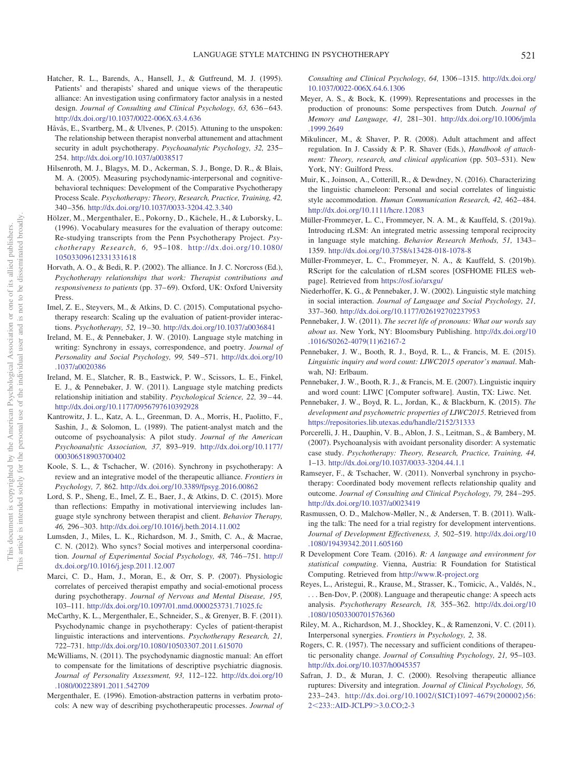- <span id="page-12-7"></span>Hatcher, R. L., Barends, A., Hansell, J., & Gutfreund, M. J. (1995). Patients' and therapists' shared and unique views of the therapeutic alliance: An investigation using confirmatory factor analysis in a nested design. *Journal of Consulting and Clinical Psychology, 63,* 636–643. <http://dx.doi.org/10.1037/0022-006X.63.4.636>
- <span id="page-12-4"></span>Håvås, E., Svartberg, M., & Ulvenes, P. (2015). Attuning to the unspoken: The relationship between therapist nonverbal attunement and attachment security in adult psychotherapy. *Psychoanalytic Psychology, 32,* 235– 254. <http://dx.doi.org/10.1037/a0038517>
- <span id="page-12-8"></span>Hilsenroth, M. J., Blagys, M. D., Ackerman, S. J., Bonge, D. R., & Blais, M. A. (2005). Measuring psychodynamic-interpersonal and cognitivebehavioral techniques: Development of the Comparative Psychotherapy Process Scale. *Psychotherapy: Theory, Research, Practice, Training, 42,* 340–356. <http://dx.doi.org/10.1037/0033-3204.42.3.340>
- <span id="page-12-6"></span>Hölzer, M., Mergenthaler, E., Pokorny, D., Kächele, H., & Luborsky, L. (1996). Vocabulary measures for the evaluation of therapy outcome: Re-studying transcripts from the Penn Psychotherapy Project. *Psychotherapy Research, 6,* 95–108. [http://dx.doi.org/10.1080/](http://dx.doi.org/10.1080/10503309612331331618) [10503309612331331618](http://dx.doi.org/10.1080/10503309612331331618)
- <span id="page-12-1"></span>Horvath, A. O., & Bedi, R. P. (2002). The alliance. In J. C. Norcross (Ed.), *Psychotherapy relationships that work: Therapist contributions and responsiveness to patients* (pp. 37–69). Oxford, UK: Oxford University Press.
- <span id="page-12-31"></span>Imel, Z. E., Steyvers, M., & Atkins, D. C. (2015). Computational psychotherapy research: Scaling up the evaluation of patient-provider interactions. *Psychotherapy, 52,* 19–30. <http://dx.doi.org/10.1037/a0036841>
- <span id="page-12-11"></span>Ireland, M. E., & Pennebaker, J. W. (2010). Language style matching in writing: Synchrony in essays, correspondence, and poetry. *Journal of Personality and Social Psychology, 99,* 549–571. [http://dx.doi.org/10](http://dx.doi.org/10.1037/a0020386) [.1037/a0020386](http://dx.doi.org/10.1037/a0020386)
- <span id="page-12-13"></span>Ireland, M. E., Slatcher, R. B., Eastwick, P. W., Scissors, L. E., Finkel, E. J., & Pennebaker, J. W. (2011). Language style matching predicts relationship initiation and stability. *Psychological Science, 22,* 39–44. <http://dx.doi.org/10.1177/0956797610392928>
- <span id="page-12-2"></span>Kantrowitz, J. L., Katz, A. L., Greenman, D. A., Morris, H., Paolitto, F., Sashin, J., & Solomon, L. (1989). The patient-analyst match and the outcome of psychoanalysis: A pilot study. *Journal of the American Psychoanalytic Association, 37,* 893–919. [http://dx.doi.org/10.1177/](http://dx.doi.org/10.1177/000306518903700402) [000306518903700402](http://dx.doi.org/10.1177/000306518903700402)
- <span id="page-12-27"></span>Koole, S. L., & Tschacher, W. (2016). Synchrony in psychotherapy: A review and an integrative model of the therapeutic alliance. *Frontiers in Psychology, 7,* 862. <http://dx.doi.org/10.3389/fpsyg.2016.00862>
- <span id="page-12-19"></span>Lord, S. P., Sheng, E., Imel, Z. E., Baer, J., & Atkins, D. C. (2015). More than reflections: Empathy in motivational interviewing includes language style synchrony between therapist and client. *Behavior Therapy, 46,* 296–303. <http://dx.doi.org/10.1016/j.beth.2014.11.002>
- <span id="page-12-14"></span>Lumsden, J., Miles, L. K., Richardson, M. J., Smith, C. A., & Macrae, C. N. (2012). Who syncs? Social motives and interpersonal coordination. *Journal of Experimental Social Psychology, 48,* 746–751. [http://](http://dx.doi.org/10.1016/j.jesp.2011.12.007) [dx.doi.org/10.1016/j.jesp.2011.12.007](http://dx.doi.org/10.1016/j.jesp.2011.12.007)
- <span id="page-12-33"></span>Marci, C. D., Ham, J., Moran, E., & Orr, S. P. (2007). Physiologic correlates of perceived therapist empathy and social-emotional process during psychotherapy. *Journal of Nervous and Mental Disease, 195,* 103–111. <http://dx.doi.org/10.1097/01.nmd.0000253731.71025.fc>
- <span id="page-12-22"></span>McCarthy, K. L., Mergenthaler, E., Schneider, S., & Grenyer, B. F. (2011). Psychodynamic change in psychotherapy: Cycles of patient-therapist linguistic interactions and interventions. *Psychotherapy Research, 21,* 722–731. <http://dx.doi.org/10.1080/10503307.2011.615070>
- <span id="page-12-9"></span>McWilliams, N. (2011). The psychodynamic diagnostic manual: An effort to compensate for the limitations of descriptive psychiatric diagnosis. *Journal of Personality Assessment, 93,* 112–122. [http://dx.doi.org/10](http://dx.doi.org/10.1080/00223891.2011.542709) [.1080/00223891.2011.542709](http://dx.doi.org/10.1080/00223891.2011.542709)
- <span id="page-12-29"></span>Mergenthaler, E. (1996). Emotion-abstraction patterns in verbatim protocols: A new way of describing psychotherapeutic processes. *Journal of*

*Consulting and Clinical Psychology, 64,* 1306–1315. [http://dx.doi.org/](http://dx.doi.org/10.1037/0022-006X.64.6.1306) [10.1037/0022-006X.64.6.1306](http://dx.doi.org/10.1037/0022-006X.64.6.1306)

- <span id="page-12-18"></span>Meyer, A. S., & Bock, K. (1999). Representations and processes in the production of pronouns: Some perspectives from Dutch. *Journal of Memory and Language, 41,* 281–301. [http://dx.doi.org/10.1006/jmla](http://dx.doi.org/10.1006/jmla.1999.2649) [.1999.2649](http://dx.doi.org/10.1006/jmla.1999.2649)
- <span id="page-12-30"></span>Mikulincer, M., & Shaver, P. R. (2008). Adult attachment and affect regulation. In J. Cassidy & P. R. Shaver (Eds.), *Handbook of attachment: Theory, research, and clinical application* (pp. 503–531). New York, NY: Guilford Press.
- <span id="page-12-15"></span>Muir, K., Joinson, A., Cotterill, R., & Dewdney, N. (2016). Characterizing the linguistic chameleon: Personal and social correlates of linguistic style accommodation. *Human Communication Research, 42,* 462–484. <http://dx.doi.org/10.1111/hcre.12083>
- <span id="page-12-5"></span>Müller-Frommeyer, L. C., Frommeyer, N. A. M., & Kauffeld, S. (2019a). Introducing rLSM: An integrated metric assessing temporal reciprocity in language style matching. *Behavior Research Methods, 51,* 1343– 1359. <http://dx.doi.org/10.3758/s13428-018-1078-8>
- <span id="page-12-21"></span>Müller-Frommeyer, L. C., Frommeyer, N. A., & Kauffeld, S. (2019b). RScript for the calculation of rLSM scores [OSFHOME FILES webpage]. Retrieved from <https://osf.io/arxgu/>
- <span id="page-12-0"></span>Niederhoffer, K. G., & Pennebaker, J. W. (2002). Linguistic style matching in social interaction. *Journal of Language and Social Psychology, 21,* 337–360. <http://dx.doi.org/10.1177/026192702237953>
- <span id="page-12-12"></span>Pennebaker, J. W. (2011). *The secret life of pronouns: What our words say about us*. New York, NY: Bloomsbury Publishing. [http://dx.doi.org/10](http://dx.doi.org/10.1016/S0262-4079%2811%2962167-2) [.1016/S0262-4079\(11\)62167-2](http://dx.doi.org/10.1016/S0262-4079%2811%2962167-2)
- <span id="page-12-23"></span>Pennebaker, J. W., Booth, R. J., Boyd, R. L., & Francis, M. E. (2015). *Linguistic inquiry and word count: LIWC2015 operator's manual*. Mahwah, NJ: Erlbaum.
- <span id="page-12-20"></span>Pennebaker, J. W., Booth, R. J., & Francis, M. E. (2007). Linguistic inquiry and word count: LIWC [Computer software]. Austin, TX: Liwc. Net.
- <span id="page-12-24"></span>Pennebaker, J. W., Boyd, R. L., Jordan, K., & Blackburn, K. (2015). *The development and psychometric properties of LIWC2015*. Retrieved from <https://repositories.lib.utexas.edu/handle/2152/31333>
- <span id="page-12-26"></span>Porcerelli, J. H., Dauphin, V. B., Ablon, J. S., Leitman, S., & Bambery, M. (2007). Psychoanalysis with avoidant personality disorder: A systematic case study. *Psychotherapy: Theory, Research, Practice, Training, 44,* 1–13. <http://dx.doi.org/10.1037/0033-3204.44.1.1>
- <span id="page-12-32"></span>Ramseyer, F., & Tschacher, W. (2011). Nonverbal synchrony in psychotherapy: Coordinated body movement reflects relationship quality and outcome. *Journal of Consulting and Clinical Psychology, 79,* 284–295. <http://dx.doi.org/10.1037/a0023419>
- <span id="page-12-28"></span>Rasmussen, O. D., Malchow-Møller, N., & Andersen, T. B. (2011). Walking the talk: The need for a trial registry for development interventions. *Journal of Development Effectiveness, 3,* 502–519. [http://dx.doi.org/10](http://dx.doi.org/10.1080/19439342.2011.605160) [.1080/19439342.2011.605160](http://dx.doi.org/10.1080/19439342.2011.605160)
- <span id="page-12-25"></span>R Development Core Team. (2016). *R: A language and environment for statistical computing*. Vienna, Austria: R Foundation for Statistical Computing. Retrieved from <http://www.R-project.org>
- <span id="page-12-10"></span>Reyes, L., Aristegui, R., Krause, M., Strasser, K., Tomicic, A., Valdés, N., . . . Ben-Dov, P. (2008). Language and therapeutic change: A speech acts analysis. *Psychotherapy Research, 18,* 355–362. [http://dx.doi.org/10](http://dx.doi.org/10.1080/10503300701576360) [.1080/10503300701576360](http://dx.doi.org/10.1080/10503300701576360)
- <span id="page-12-16"></span>Riley, M. A., Richardson, M. J., Shockley, K., & Ramenzoni, V. C. (2011). Interpersonal synergies. *Frontiers in Psychology, 2,* 38.
- <span id="page-12-17"></span>Rogers, C. R. (1957). The necessary and sufficient conditions of therapeutic personality change. *Journal of Consulting Psychology, 21,* 95–103. <http://dx.doi.org/10.1037/h0045357>
- <span id="page-12-3"></span>Safran, J. D., & Muran, J. C. (2000). Resolving therapeutic alliance ruptures: Diversity and integration. *Journal of Clinical Psychology, 56,* 233–243. [http://dx.doi.org/10.1002/\(SICI\)1097-4679\(200002\)56:](http://dx.doi.org/10.1002/%28SICI%291097-4679%28200002%2956:2%3C233::AID-JCLP9%3E3.0.CO;2-3) 2[233::AID-JCLP9](http://dx.doi.org/10.1002/%28SICI%291097-4679%28200002%2956:2%3C233::AID-JCLP9%3E3.0.CO;2-3)3.0.CO;2-3